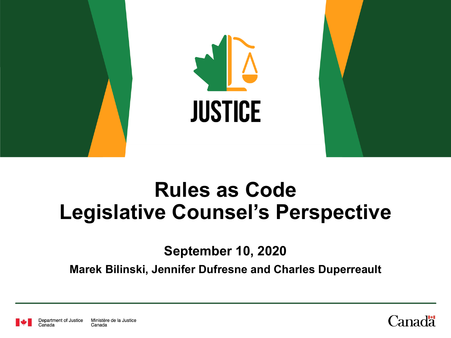

# **Rules as Code Legislative Counsel's Perspective**

**September 10, 2020**

**Marek Bilinski, Jennifer Dufresne and Charles Duperreault**



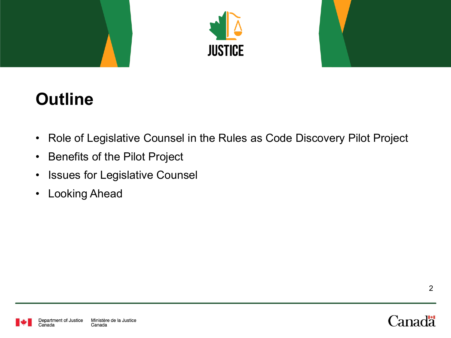



### **Outline**

- Role of Legislative Counsel in the Rules as Code Discovery Pilot Project
- Benefits of the Pilot Project
- Issues for Legislative Counsel
- Looking Ahead



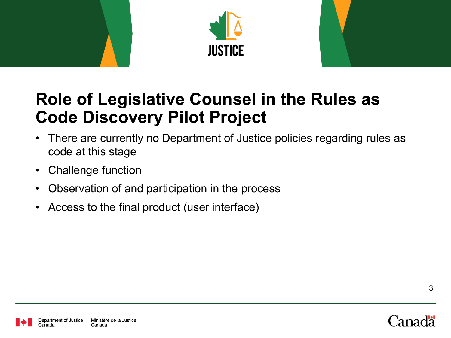



#### **Role of Legislative Counsel in the Rules as Code Discovery Pilot Project**

- There are currently no Department of Justice policies regarding rules as code at this stage
- Challenge function
- Observation of and participation in the process
- Access to the final product (user interface)



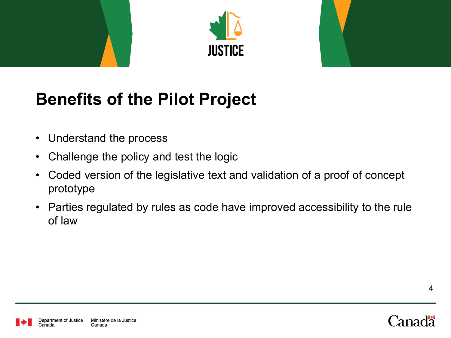



## **Benefits of the Pilot Project**

- Understand the process
- Challenge the policy and test the logic
- Coded version of the legislative text and validation of a proof of concept prototype
- Parties regulated by rules as code have improved accessibility to the rule of law

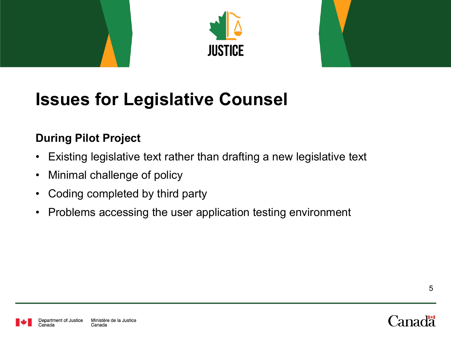



### **Issues for Legislative Counsel**

#### **During Pilot Project**

- Existing legislative text rather than drafting a new legislative text
- Minimal challenge of policy
- Coding completed by third party
- Problems accessing the user application testing environment



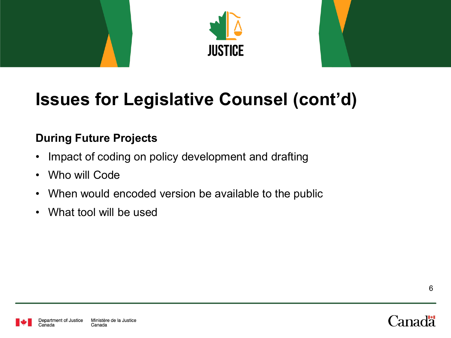



## **Issues for Legislative Counsel (cont'd)**

#### **During Future Projects**

- Impact of coding on policy development and drafting
- Who will Code
- When would encoded version be available to the public
- What tool will be used



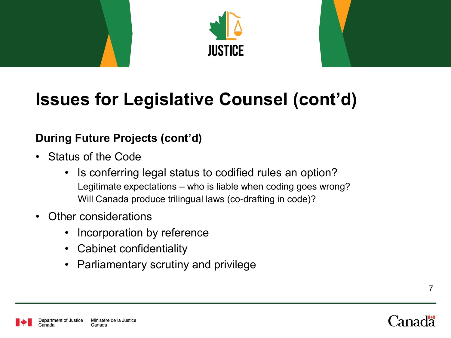



### **Issues for Legislative Counsel (cont'd)**

#### **During Future Projects (cont'd)**

- Status of the Code
	- Is conferring legal status to codified rules an option? Legitimate expectations – who is liable when coding goes wrong? Will Canada produce trilingual laws (co-drafting in code)?
- Other considerations
	- Incorporation by reference
	- Cabinet confidentiality
	- Parliamentary scrutiny and privilege



7